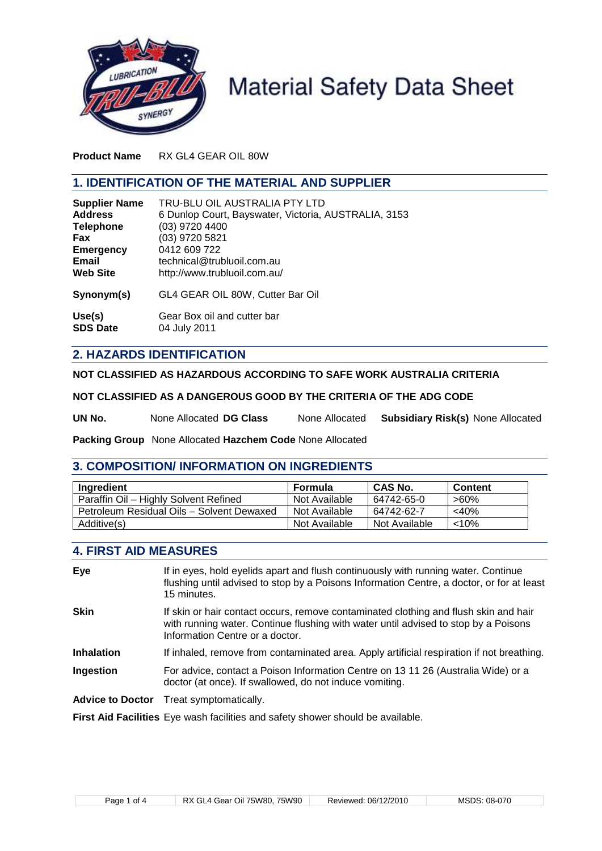

# **Material Safety Data Sheet**

**Product Name** RX GL4 GEAR OIL 80W

# **1. IDENTIFICATION OF THE MATERIAL AND SUPPLIER**

| <b>Supplier Name</b> | TRU-BLU OIL AUSTRALIA PTY LTD                        |
|----------------------|------------------------------------------------------|
| <b>Address</b>       | 6 Dunlop Court, Bayswater, Victoria, AUSTRALIA, 3153 |
| <b>Telephone</b>     | (03) 9720 4400                                       |
| <b>Fax</b>           | (03) 9720 5821                                       |
| <b>Emergency</b>     | 0412 609 722                                         |
| Email                | technical@trubluoil.com.au                           |
| <b>Web Site</b>      | http://www.trubluoil.com.au/                         |
| Synonym(s)           | GL4 GEAR OIL 80W, Cutter Bar Oil                     |
| Use(s)               | Gear Box oil and cutter bar                          |
| <b>SDS Date</b>      | 04 July 2011                                         |

# **2. HAZARDS IDENTIFICATION**

**NOT CLASSIFIED AS HAZARDOUS ACCORDING TO SAFE WORK AUSTRALIA CRITERIA**

**NOT CLASSIFIED AS A DANGEROUS GOOD BY THE CRITERIA OF THE ADG CODE**

**UN No.** None Allocated **DG Class** None Allocated **Subsidiary Risk(s)** None Allocated

**Packing Group** None Allocated **Hazchem Code** None Allocated

# **3. COMPOSITION/ INFORMATION ON INGREDIENTS**

| Ingredient                                | Formula       | <b>CAS No.</b> | <b>Content</b> |
|-------------------------------------------|---------------|----------------|----------------|
| Paraffin Oil - Highly Solvent Refined     | Not Available | 64742-65-0     | >60%           |
| Petroleum Residual Oils - Solvent Dewaxed | Not Available | 64742-62-7     | $<$ 40%        |
| Additive(s)                               | Not Available | Not Available  | $<$ 10%        |

# **4. FIRST AID MEASURES**

| Eye                     | If in eyes, hold eyelids apart and flush continuously with running water. Continue<br>flushing until advised to stop by a Poisons Information Centre, a doctor, or for at least<br>15 minutes.                 |
|-------------------------|----------------------------------------------------------------------------------------------------------------------------------------------------------------------------------------------------------------|
| Skin                    | If skin or hair contact occurs, remove contaminated clothing and flush skin and hair<br>with running water. Continue flushing with water until advised to stop by a Poisons<br>Information Centre or a doctor. |
| <b>Inhalation</b>       | If inhaled, remove from contaminated area. Apply artificial respiration if not breathing.                                                                                                                      |
| Ingestion               | For advice, contact a Poison Information Centre on 13 11 26 (Australia Wide) or a<br>doctor (at once). If swallowed, do not induce vomiting.                                                                   |
| <b>Advice to Doctor</b> | Treat symptomatically.                                                                                                                                                                                         |
|                         | First Aid Facilities Eye wash facilities and safety shower should be available.                                                                                                                                |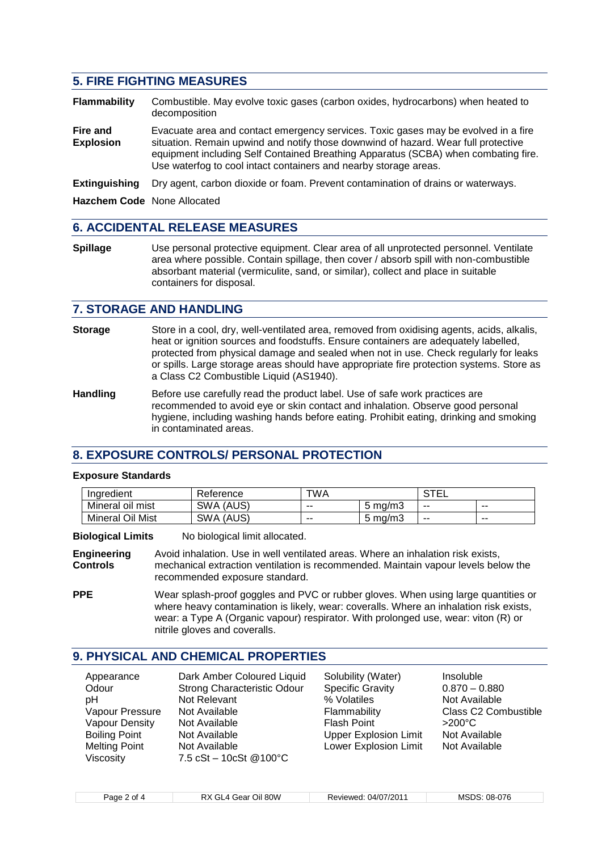# **5. FIRE FIGHTING MEASURES**

**Flammability** Combustible. May evolve toxic gases (carbon oxides, hydrocarbons) when heated to decomposition **Fire and** Evacuate area and contact emergency services. Toxic gases may be evolved in a fire **Explosion** situation. Remain upwind and notify those downwind of hazard. Wear full protective equipment including Self Contained Breathing Apparatus (SCBA) when combating fire. Use waterfog to cool intact containers and nearby storage areas.

**Extinguishing** Dry agent, carbon dioxide or foam. Prevent contamination of drains or waterways.

**Hazchem Code** None Allocated

# **6. ACCIDENTAL RELEASE MEASURES**

**Spillage** Use personal protective equipment. Clear area of all unprotected personnel. Ventilate area where possible. Contain spillage, then cover / absorb spill with non-combustible absorbant material (vermiculite, sand, or similar), collect and place in suitable containers for disposal.

### **7. STORAGE AND HANDLING**

- **Storage** Store in a cool, dry, well-ventilated area, removed from oxidising agents, acids, alkalis, heat or ignition sources and foodstuffs. Ensure containers are adequately labelled, protected from physical damage and sealed when not in use. Check regularly for leaks or spills. Large storage areas should have appropriate fire protection systems. Store as a Class C2 Combustible Liquid (AS1940).
- **Handling** Before use carefully read the product label. Use of safe work practices are recommended to avoid eye or skin contact and inhalation. Observe good personal hygiene, including washing hands before eating. Prohibit eating, drinking and smoking in contaminated areas.

# **8. EXPOSURE CONTROLS/ PERSONAL PROTECTION**

#### **Exposure Standards**

| Indredient       | ∢eference           | TWA   |            | ∟∟<br>◡ |     |
|------------------|---------------------|-------|------------|---------|-----|
| Mineral oil mist | (AUS)<br><b>SWA</b> | $- -$ | ma/m3<br>ີ | --      | --  |
| Mineral Oil Mist | (AUS)<br>SWA        | $-$   | ma/m3<br>ີ | $- -$   | $-$ |

**Biological Limits** No biological limit allocated.

**Engineering** Avoid inhalation. Use in well ventilated areas. Where an inhalation risk exists, **Controls** mechanical extraction ventilation is recommended. Maintain vapour levels below the recommended exposure standard.

**PPE** Wear splash-proof goggles and PVC or rubber gloves. When using large quantities or where heavy contamination is likely, wear: coveralls. Where an inhalation risk exists, wear: a Type A (Organic vapour) respirator. With prolonged use, wear: viton (R) or nitrile gloves and coveralls.

# **9. PHYSICAL AND CHEMICAL PROPERTIES**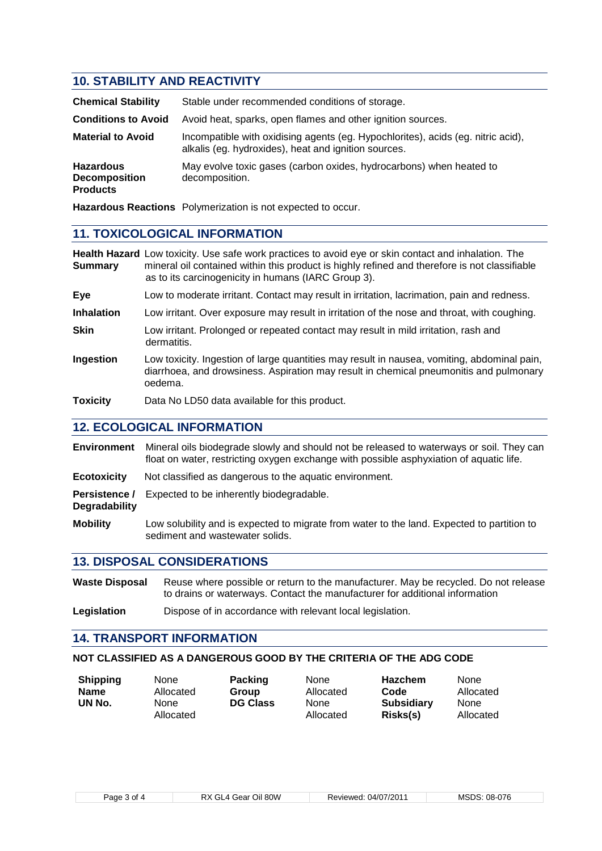# **10. STABILITY AND REACTIVITY**

| <b>Chemical Stability</b>                                   | Stable under recommended conditions of storage.                                                                                          |
|-------------------------------------------------------------|------------------------------------------------------------------------------------------------------------------------------------------|
| <b>Conditions to Avoid</b>                                  | Avoid heat, sparks, open flames and other ignition sources.                                                                              |
| <b>Material to Avoid</b>                                    | Incompatible with oxidising agents (eg. Hypochlorites), acids (eg. nitric acid),<br>alkalis (eg. hydroxides), heat and ignition sources. |
| <b>Hazardous</b><br><b>Decomposition</b><br><b>Products</b> | May evolve toxic gases (carbon oxides, hydrocarbons) when heated to<br>decomposition.                                                    |
|                                                             |                                                                                                                                          |

**Hazardous Reactions** Polymerization is not expected to occur.

# **11. TOXICOLOGICAL INFORMATION**

**Health Hazard** Low toxicity. Use safe work practices to avoid eye or skin contact and inhalation. The **Summary** mineral oil contained within this product is highly refined and therefore is not classifiable as to its carcinogenicity in humans (IARC Group 3).

**Eye** Low to moderate irritant. Contact may result in irritation, lacrimation, pain and redness.

**Inhalation** Low irritant. Over exposure may result in irritation of the nose and throat, with coughing.

- **Skin** Low irritant. Prolonged or repeated contact may result in mild irritation, rash and dermatitis.
- **Ingestion** Low toxicity. Ingestion of large quantities may result in nausea, vomiting, abdominal pain, diarrhoea, and drowsiness. Aspiration may result in chemical pneumonitis and pulmonary oedema.

**Toxicity** Data No LD50 data available for this product.

#### **12. ECOLOGICAL INFORMATION**

**Environment** Mineral oils biodegrade slowly and should not be released to waterways or soil. They can float on water, restricting oxygen exchange with possible asphyxiation of aquatic life.

- **Ecotoxicity** Not classified as dangerous to the aquatic environment.
- **Persistence /** Expected to be inherently biodegradable. **Degradability**

**Mobility** Low solubility and is expected to migrate from water to the land. Expected to partition to sediment and wastewater solids.

#### **13. DISPOSAL CONSIDERATIONS**

**Waste Disposal** Reuse where possible or return to the manufacturer. May be recycled. Do not release to drains or waterways. Contact the manufacturer for additional information

Legislation **Dispose of in accordance with relevant local legislation.** 

#### **14. TRANSPORT INFORMATION**

#### **NOT CLASSIFIED AS A DANGEROUS GOOD BY THE CRITERIA OF THE ADG CODE**

| <b>Shipping</b> | None              | <b>Packing</b>  | None              | <b>Hazchem</b>                |
|-----------------|-------------------|-----------------|-------------------|-------------------------------|
| <b>Name</b>     | Allocated         | Group           | Allocated         | Code                          |
| UN No.          | None<br>Allocated | <b>DG Class</b> | None<br>Allocated | <b>Subsidiary</b><br>Risks(s) |

None Allocated

None Allocated